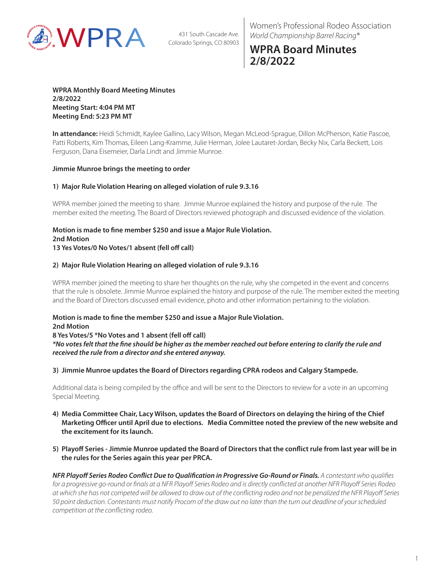

431 South Cascade Ave. Colorado Springs, CO 80903 Women's Professional Rodeo Association *World Championship Barrel Racing®*

# **WPRA Board Minutes 2/8/2022**

**WPRA Monthly Board Meeting Minutes 2/8/2022 Meeting Start: 4:04 PM MT Meeting End: 5:23 PM MT**

**In attendance:** Heidi Schmidt, Kaylee Gallino, Lacy Wilson, Megan McLeod-Sprague, Dillon McPherson, Katie Pascoe, Patti Roberts, Kim Thomas, Eileen Lang-Kramme, Julie Herman, Jolee Lautaret-Jordan, Becky Nix, Carla Beckett, Lois Ferguson, Dana Eisemeier, Darla Lindt and Jimmie Munroe.

## **Jimmie Munroe brings the meeting to order**

## **1) Major Rule Violation Hearing on alleged violation of rule 9.3.16**

WPRA member joined the meeting to share. Jimmie Munroe explained the history and purpose of the rule. The member exited the meeting. The Board of Directors reviewed photograph and discussed evidence of the violation.

#### **Motion is made to fine member \$250 and issue a Major Rule Violation. 2nd Motion 13 Yes Votes/0 No Votes/1 absent (fell off call)**

## **2) Major Rule Violation Hearing on alleged violation of rule 9.3.16**

WPRA member joined the meeting to share her thoughts on the rule, why she competed in the event and concerns that the rule is obsolete. Jimmie Munroe explained the history and purpose of the rule. The member exited the meeting and the Board of Directors discussed email evidence, photo and other information pertaining to the violation.

**Motion is made to fine the member \$250 and issue a Major Rule Violation. 2nd Motion 8 Yes Votes/5 \*No Votes and 1 absent (fell off call)** *\*No votes felt that the fine should be higher as the member reached out before entering to clarify the rule and received the rule from a director and she entered anyway.*

**3) Jimmie Munroe updates the Board of Directors regarding CPRA rodeos and Calgary Stampede.**

Additional data is being compiled by the office and will be sent to the Directors to review for a vote in an upcoming Special Meeting.

- **4) Media Committee Chair, Lacy Wilson, updates the Board of Directors on delaying the hiring of the Chief Marketing Officer until April due to elections. Media Committee noted the preview of the new website and the excitement for its launch.**
- **5) Playoff Series Jimmie Munroe updated the Board of Directors that the conflict rule from last year will be in the rules for the Series again this year per PRCA.**

*NFR Playoff Series Rodeo Conflict Due to Qualification in Progressive Go-Round or Finals. A contestant who qualifies for a progressive go-round or finals at a NFR Playoff Series Rodeo and is directly conflicted at another NFR Playoff Series Rodeo at which she has not competed will be allowed to draw out of the conflicting rodeo and not be penalized the NFR Playoff Series 50 point deduction. Contestants must notify Procom of the draw out no later than the turn out deadline of your scheduled competition at the conflicting rodeo.*